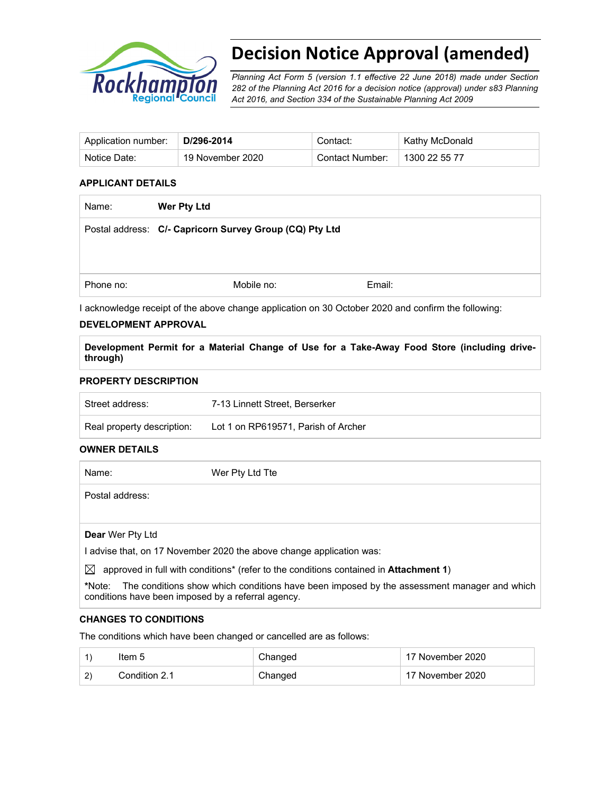

# **Decision Notice Approval (amended)**

*Planning Act Form 5 (version 1.1 effective 22 June 2018) made under Section 282 of the Planning Act 2016 for a decision notice (approval) under s83 Planning Act 2016, and Section 334 of the Sustainable Planning Act 2009*

| Application number: | D/296-2014       | Contact:        | Kathy McDonald |
|---------------------|------------------|-----------------|----------------|
| Notice Date:        | 19 November 2020 | Contact Number: | 1300 22 55 77  |

### **APPLICANT DETAILS**

| <b>Wer Pty Ltd</b>                                      |        |  |  |
|---------------------------------------------------------|--------|--|--|
| Postal address: C/- Capricorn Survey Group (CQ) Pty Ltd |        |  |  |
|                                                         |        |  |  |
|                                                         |        |  |  |
| Mobile no:                                              | Email: |  |  |
|                                                         |        |  |  |

I acknowledge receipt of the above change application on 30 October 2020 and confirm the following:

#### **DEVELOPMENT APPROVAL**

**Development Permit for a Material Change of Use for a Take-Away Food Store (including drivethrough)** 

#### **PROPERTY DESCRIPTION**

| Street address:            | 7-13 Linnett Street. Berserker      |
|----------------------------|-------------------------------------|
| Real property description: | Lot 1 on RP619571, Parish of Archer |

#### **OWNER DETAILS**

| Name:                   | Wer Pty Ltd Tte                                                                              |
|-------------------------|----------------------------------------------------------------------------------------------|
| Postal address:         |                                                                                              |
|                         |                                                                                              |
| <b>Dear</b> Wer Pty Ltd |                                                                                              |
|                         | I advise that, on 17 November 2020 the above change application was:                         |
| $\bowtie$               | approved in full with conditions* (refer to the conditions contained in <b>Attachment 1)</b> |

**\***Note:The conditions show which conditions have been imposed by the assessment manager and which conditions have been imposed by a referral agency.

#### **CHANGES TO CONDITIONS**

The conditions which have been changed or cancelled are as follows:

|   | ltem 5        | Changed | 17 November 2020 |
|---|---------------|---------|------------------|
| っ | Condition 2.1 | Changed | 17 November 2020 |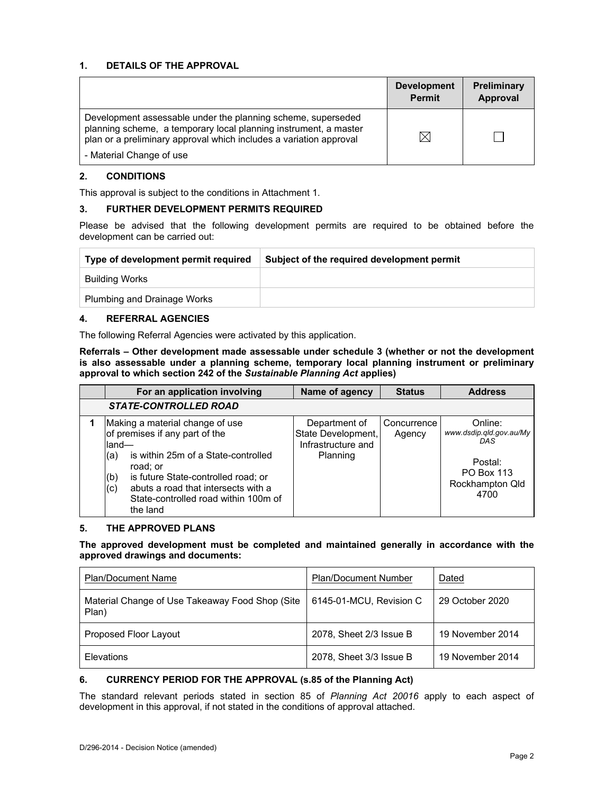### **1. DETAILS OF THE APPROVAL**

|                                                                                                                                                                                                        | <b>Development</b><br><b>Permit</b> | <b>Preliminary</b><br>Approval |
|--------------------------------------------------------------------------------------------------------------------------------------------------------------------------------------------------------|-------------------------------------|--------------------------------|
| Development assessable under the planning scheme, superseded<br>planning scheme, a temporary local planning instrument, a master<br>plan or a preliminary approval which includes a variation approval |                                     |                                |
| - Material Change of use                                                                                                                                                                               |                                     |                                |

#### **2. CONDITIONS**

This approval is subject to the conditions in Attachment 1.

#### **3. FURTHER DEVELOPMENT PERMITS REQUIRED**

Please be advised that the following development permits are required to be obtained before the development can be carried out:

| Type of development permit required | Subject of the required development permit |
|-------------------------------------|--------------------------------------------|
| Building Works                      |                                            |
| <b>Plumbing and Drainage Works</b>  |                                            |

#### **4. REFERRAL AGENCIES**

The following Referral Agencies were activated by this application.

**Referrals** *–* **Other development made assessable under schedule 3 (whether or not the development is also assessable under a planning scheme, temporary local planning instrument or preliminary approval to which section 242 of the** *Sustainable Planning Act* **applies)** 

| For an application involving                                                                                                                                                                                                                                                         | Name of agency                                                        | <b>Status</b>         | <b>Address</b>                                                                                       |
|--------------------------------------------------------------------------------------------------------------------------------------------------------------------------------------------------------------------------------------------------------------------------------------|-----------------------------------------------------------------------|-----------------------|------------------------------------------------------------------------------------------------------|
| <b>STATE-CONTROLLED ROAD</b>                                                                                                                                                                                                                                                         |                                                                       |                       |                                                                                                      |
| Making a material change of use<br>of premises if any part of the<br>land-<br>is within 25m of a State-controlled<br>(a)<br>road; or<br>is future State-controlled road; or<br>(b)<br>abuts a road that intersects with a<br>(c)<br>State-controlled road within 100m of<br>the land | Department of<br>State Development,<br>Infrastructure and<br>Planning | Concurrence<br>Agency | Online:<br>www.dsdip.qld.gov.au/My<br>DAS<br>Postal:<br><b>PO Box 113</b><br>Rockhampton Qld<br>4700 |

#### **5. THE APPROVED PLANS**

#### **The approved development must be completed and maintained generally in accordance with the approved drawings and documents:**

| <b>Plan/Document Name</b>                                | <b>Plan/Document Number</b> | Dated            |
|----------------------------------------------------------|-----------------------------|------------------|
| Material Change of Use Takeaway Food Shop (Site<br>Plan) | 6145-01-MCU, Revision C     | 29 October 2020  |
| Proposed Floor Layout                                    | 2078, Sheet 2/3 Issue B     | 19 November 2014 |
| Elevations                                               | 2078, Sheet 3/3 Issue B     | 19 November 2014 |

#### **6. CURRENCY PERIOD FOR THE APPROVAL (s.85 of the Planning Act)**

The standard relevant periods stated in section 85 of *Planning Act 20016* apply to each aspect of development in this approval, if not stated in the conditions of approval attached.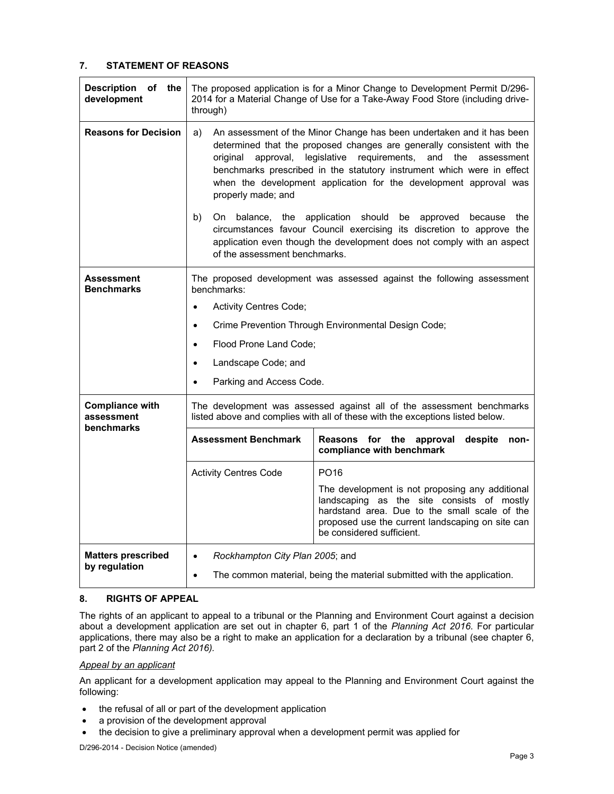## **7. STATEMENT OF REASONS**

| <b>Description</b><br>of the<br>development        | The proposed application is for a Minor Change to Development Permit D/296-<br>2014 for a Material Change of Use for a Take-Away Food Store (including drive-<br>through)                                                                                                                                                                                                                                 |                                                                                                                                                        |  |  |
|----------------------------------------------------|-----------------------------------------------------------------------------------------------------------------------------------------------------------------------------------------------------------------------------------------------------------------------------------------------------------------------------------------------------------------------------------------------------------|--------------------------------------------------------------------------------------------------------------------------------------------------------|--|--|
| <b>Reasons for Decision</b>                        | An assessment of the Minor Change has been undertaken and it has been<br>a)<br>determined that the proposed changes are generally consistent with the<br>approval, legislative requirements,<br>the<br>original<br>and<br>assessment<br>benchmarks prescribed in the statutory instrument which were in effect<br>when the development application for the development approval was<br>properly made; and |                                                                                                                                                        |  |  |
|                                                    | b)<br>On balance, the<br>application should be<br>approved<br>because<br>the<br>circumstances favour Council exercising its discretion to approve the<br>application even though the development does not comply with an aspect<br>of the assessment benchmarks.                                                                                                                                          |                                                                                                                                                        |  |  |
| Assessment<br><b>Benchmarks</b>                    | benchmarks:                                                                                                                                                                                                                                                                                                                                                                                               | The proposed development was assessed against the following assessment                                                                                 |  |  |
|                                                    | <b>Activity Centres Code;</b><br>$\bullet$                                                                                                                                                                                                                                                                                                                                                                |                                                                                                                                                        |  |  |
|                                                    | $\bullet$                                                                                                                                                                                                                                                                                                                                                                                                 | Crime Prevention Through Environmental Design Code;                                                                                                    |  |  |
|                                                    | Flood Prone Land Code;<br>$\bullet$                                                                                                                                                                                                                                                                                                                                                                       |                                                                                                                                                        |  |  |
|                                                    | Landscape Code; and<br>$\bullet$                                                                                                                                                                                                                                                                                                                                                                          |                                                                                                                                                        |  |  |
|                                                    | Parking and Access Code.<br>$\bullet$                                                                                                                                                                                                                                                                                                                                                                     |                                                                                                                                                        |  |  |
| <b>Compliance with</b><br>assessment<br>benchmarks |                                                                                                                                                                                                                                                                                                                                                                                                           | The development was assessed against all of the assessment benchmarks<br>listed above and complies with all of these with the exceptions listed below. |  |  |
|                                                    | <b>Assessment Benchmark</b><br>Reasons for the approval<br>despite<br>non-<br>compliance with benchmark                                                                                                                                                                                                                                                                                                   |                                                                                                                                                        |  |  |
|                                                    | PO <sub>16</sub><br><b>Activity Centres Code</b>                                                                                                                                                                                                                                                                                                                                                          |                                                                                                                                                        |  |  |
|                                                    | The development is not proposing any additional<br>landscaping as the site consists of mostly<br>hardstand area. Due to the small scale of the<br>proposed use the current landscaping on site can<br>be considered sufficient.                                                                                                                                                                           |                                                                                                                                                        |  |  |
| <b>Matters prescribed</b><br>by regulation         | Rockhampton City Plan 2005; and<br>$\bullet$<br>The common material, being the material submitted with the application.<br>$\bullet$                                                                                                                                                                                                                                                                      |                                                                                                                                                        |  |  |

#### **8. RIGHTS OF APPEAL**

The rights of an applicant to appeal to a tribunal or the Planning and Environment Court against a decision about a development application are set out in chapter 6, part 1 of the *Planning Act 2016*. For particular applications, there may also be a right to make an application for a declaration by a tribunal (see chapter 6, part 2 of the *Planning Act 2016).*

#### *Appeal by an applicant*

An applicant for a development application may appeal to the Planning and Environment Court against the following:

- the refusal of all or part of the development application
- a provision of the development approval
- the decision to give a preliminary approval when a development permit was applied for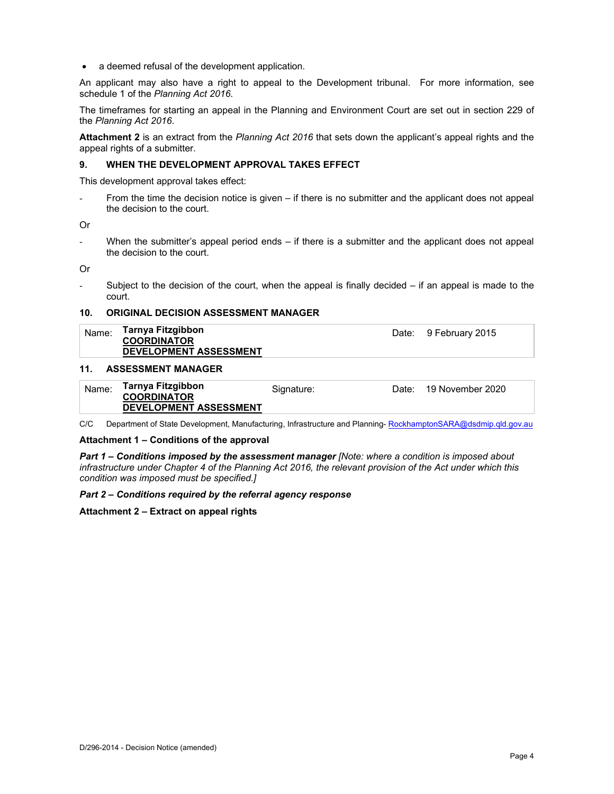a deemed refusal of the development application.

An applicant may also have a right to appeal to the Development tribunal. For more information, see schedule 1 of the *Planning Act 2016*.

The timeframes for starting an appeal in the Planning and Environment Court are set out in section 229 of the *Planning Act 2016*.

**Attachment 2** is an extract from the *Planning Act 2016* that sets down the applicant's appeal rights and the appeal rights of a submitter.

#### **9. WHEN THE DEVELOPMENT APPROVAL TAKES EFFECT**

This development approval takes effect:

From the time the decision notice is given – if there is no submitter and the applicant does not appeal the decision to the court.

Or

When the submitter's appeal period ends  $-$  if there is a submitter and the applicant does not appeal the decision to the court.

Or

Subject to the decision of the court, when the appeal is finally decided  $-$  if an appeal is made to the court.

#### **10. ORIGINAL DECISION ASSESSMENT MANAGER**

| Name: | Tarnya Fitzgibbon<br><b>COORDINATOR</b><br><b>DEVELOPMENT ASSESSMENT</b> | Date: 9 February 2015 |
|-------|--------------------------------------------------------------------------|-----------------------|
| 11.   | <b>ASSESSMENT MANAGER</b>                                                |                       |

#### 99E99

| Name: | Tarnya Fitzgibbon<br><b>COORDINATOR</b> | Signature: | Date: 19 November 2020 |
|-------|-----------------------------------------|------------|------------------------|
|       | <b>DEVELOPMENT ASSESSMENT</b>           |            |                        |

C/C Department of State Development, Manufacturing, Infrastructure and Planning- RockhamptonSARA@dsdmip.qld.gov.au

#### **Attachment 1 – Conditions of the approval**

*Part 1* **–** *Conditions imposed by the assessment manager [Note: where a condition is imposed about infrastructure under Chapter 4 of the Planning Act 2016, the relevant provision of the Act under which this condition was imposed must be specified.]*

#### *Part 2 – Conditions required by the referral agency response*

**Attachment 2 – Extract on appeal rights**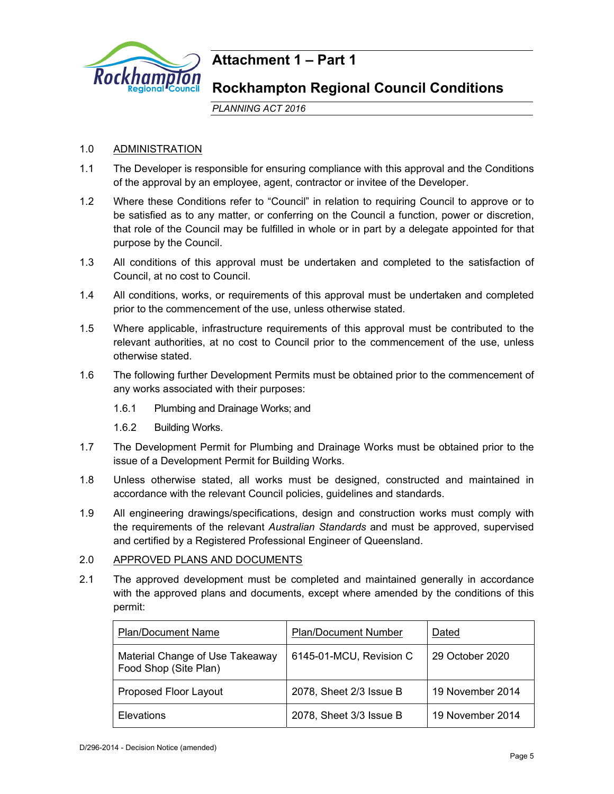

## **Attachment 1 – Part 1**

## **Rockhampton Regional Council Conditions**

*PLANNING ACT 2016*

## 1.0 ADMINISTRATION

- 1.1 The Developer is responsible for ensuring compliance with this approval and the Conditions of the approval by an employee, agent, contractor or invitee of the Developer.
- 1.2 Where these Conditions refer to "Council" in relation to requiring Council to approve or to be satisfied as to any matter, or conferring on the Council a function, power or discretion, that role of the Council may be fulfilled in whole or in part by a delegate appointed for that purpose by the Council.
- 1.3 All conditions of this approval must be undertaken and completed to the satisfaction of Council, at no cost to Council.
- 1.4 All conditions, works, or requirements of this approval must be undertaken and completed prior to the commencement of the use, unless otherwise stated.
- 1.5 Where applicable, infrastructure requirements of this approval must be contributed to the relevant authorities, at no cost to Council prior to the commencement of the use, unless otherwise stated.
- 1.6 The following further Development Permits must be obtained prior to the commencement of any works associated with their purposes:
	- 1.6.1 Plumbing and Drainage Works; and
	- 1.6.2 Building Works.
- 1.7 The Development Permit for Plumbing and Drainage Works must be obtained prior to the issue of a Development Permit for Building Works.
- 1.8 Unless otherwise stated, all works must be designed, constructed and maintained in accordance with the relevant Council policies, guidelines and standards.
- 1.9 All engineering drawings/specifications, design and construction works must comply with the requirements of the relevant *Australian Standards* and must be approved, supervised and certified by a Registered Professional Engineer of Queensland.

## 2.0 APPROVED PLANS AND DOCUMENTS

2.1 The approved development must be completed and maintained generally in accordance with the approved plans and documents, except where amended by the conditions of this permit:

| <b>Plan/Document Name</b>                                | <b>Plan/Document Number</b> | Dated            |
|----------------------------------------------------------|-----------------------------|------------------|
| Material Change of Use Takeaway<br>Food Shop (Site Plan) | 6145-01-MCU, Revision C     | 29 October 2020  |
| <b>Proposed Floor Layout</b>                             | 2078, Sheet 2/3 Issue B     | 19 November 2014 |
| Elevations                                               | 2078, Sheet 3/3 Issue B     | 19 November 2014 |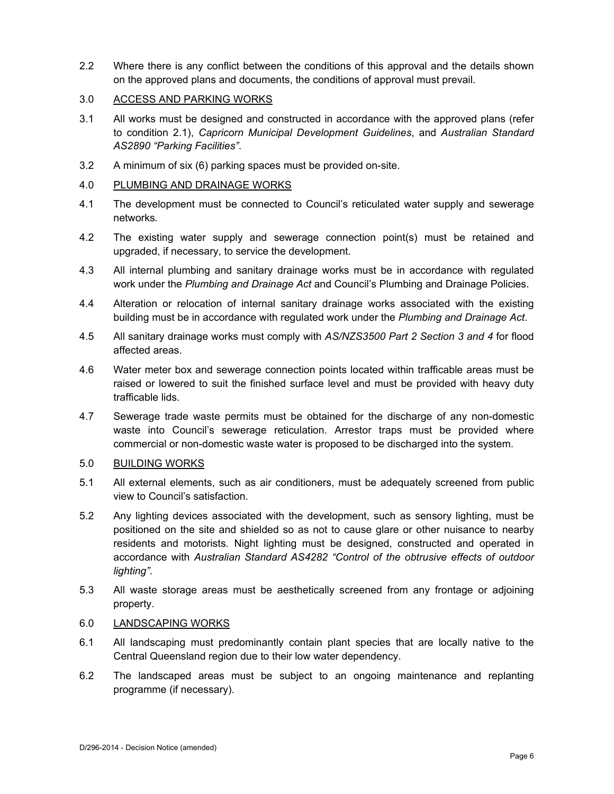2.2 Where there is any conflict between the conditions of this approval and the details shown on the approved plans and documents, the conditions of approval must prevail.

## 3.0 ACCESS AND PARKING WORKS

- 3.1 All works must be designed and constructed in accordance with the approved plans (refer to condition 2.1), *Capricorn Municipal Development Guidelines*, and *Australian Standard AS2890 "Parking Facilities"*.
- 3.2 A minimum of six (6) parking spaces must be provided on-site.

### 4.0 PLUMBING AND DRAINAGE WORKS

- 4.1 The development must be connected to Council's reticulated water supply and sewerage networks*.*
- 4.2 The existing water supply and sewerage connection point(s) must be retained and upgraded, if necessary, to service the development.
- 4.3 All internal plumbing and sanitary drainage works must be in accordance with regulated work under the *Plumbing and Drainage Act* and Council's Plumbing and Drainage Policies.
- 4.4 Alteration or relocation of internal sanitary drainage works associated with the existing building must be in accordance with regulated work under the *Plumbing and Drainage Act*.
- 4.5 All sanitary drainage works must comply with *AS/NZS3500 Part 2 Section 3 and 4* for flood affected areas.
- 4.6 Water meter box and sewerage connection points located within trafficable areas must be raised or lowered to suit the finished surface level and must be provided with heavy duty trafficable lids.
- 4.7 Sewerage trade waste permits must be obtained for the discharge of any non-domestic waste into Council's sewerage reticulation. Arrestor traps must be provided where commercial or non-domestic waste water is proposed to be discharged into the system.

## 5.0 BUILDING WORKS

- 5.1 All external elements, such as air conditioners, must be adequately screened from public view to Council's satisfaction.
- 5.2 Any lighting devices associated with the development, such as sensory lighting, must be positioned on the site and shielded so as not to cause glare or other nuisance to nearby residents and motorists. Night lighting must be designed, constructed and operated in accordance with *Australian Standard AS4282 "Control of the obtrusive effects of outdoor lighting"*.
- 5.3 All waste storage areas must be aesthetically screened from any frontage or adjoining property.

## 6.0 LANDSCAPING WORKS

- 6.1 All landscaping must predominantly contain plant species that are locally native to the Central Queensland region due to their low water dependency.
- 6.2 The landscaped areas must be subject to an ongoing maintenance and replanting programme (if necessary).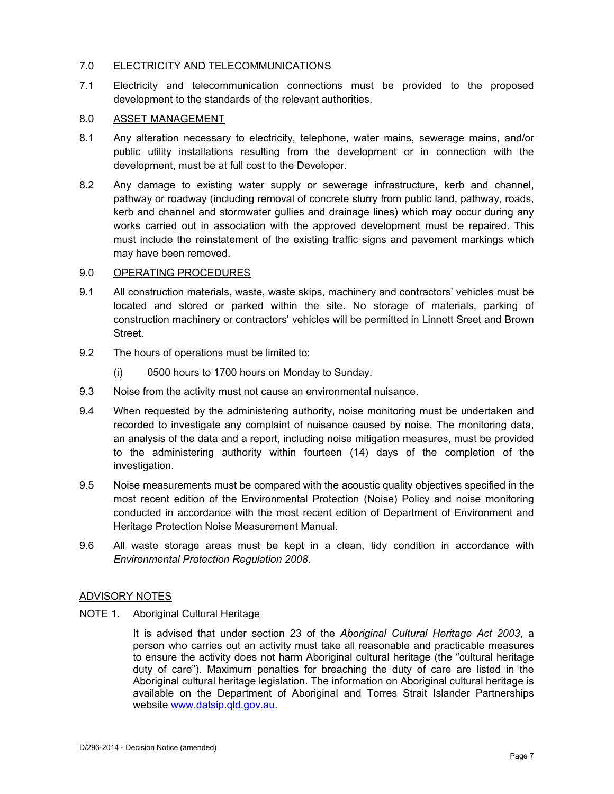## 7.0 ELECTRICITY AND TELECOMMUNICATIONS

7.1 Electricity and telecommunication connections must be provided to the proposed development to the standards of the relevant authorities.

## 8.0 ASSET MANAGEMENT

- 8.1 Any alteration necessary to electricity, telephone, water mains, sewerage mains, and/or public utility installations resulting from the development or in connection with the development, must be at full cost to the Developer.
- 8.2 Any damage to existing water supply or sewerage infrastructure, kerb and channel, pathway or roadway (including removal of concrete slurry from public land, pathway, roads, kerb and channel and stormwater gullies and drainage lines) which may occur during any works carried out in association with the approved development must be repaired. This must include the reinstatement of the existing traffic signs and pavement markings which may have been removed.

## 9.0 OPERATING PROCEDURES

- 9.1 All construction materials, waste, waste skips, machinery and contractors' vehicles must be located and stored or parked within the site. No storage of materials, parking of construction machinery or contractors' vehicles will be permitted in Linnett Sreet and Brown **Street**
- 9.2 The hours of operations must be limited to:
	- (i) 0500 hours to 1700 hours on Monday to Sunday.
- 9.3 Noise from the activity must not cause an environmental nuisance.
- 9.4 When requested by the administering authority, noise monitoring must be undertaken and recorded to investigate any complaint of nuisance caused by noise. The monitoring data, an analysis of the data and a report, including noise mitigation measures, must be provided to the administering authority within fourteen (14) days of the completion of the investigation.
- 9.5 Noise measurements must be compared with the acoustic quality objectives specified in the most recent edition of the Environmental Protection (Noise) Policy and noise monitoring conducted in accordance with the most recent edition of Department of Environment and Heritage Protection Noise Measurement Manual.
- 9.6 All waste storage areas must be kept in a clean, tidy condition in accordance with *Environmental Protection Regulation 2008*.

#### ADVISORY NOTES

NOTE 1. Aboriginal Cultural Heritage

It is advised that under section 23 of the *Aboriginal Cultural Heritage Act 2003*, a person who carries out an activity must take all reasonable and practicable measures to ensure the activity does not harm Aboriginal cultural heritage (the "cultural heritage duty of care"). Maximum penalties for breaching the duty of care are listed in the Aboriginal cultural heritage legislation. The information on Aboriginal cultural heritage is available on the Department of Aboriginal and Torres Strait Islander Partnerships website www.datsip.qld.gov.au.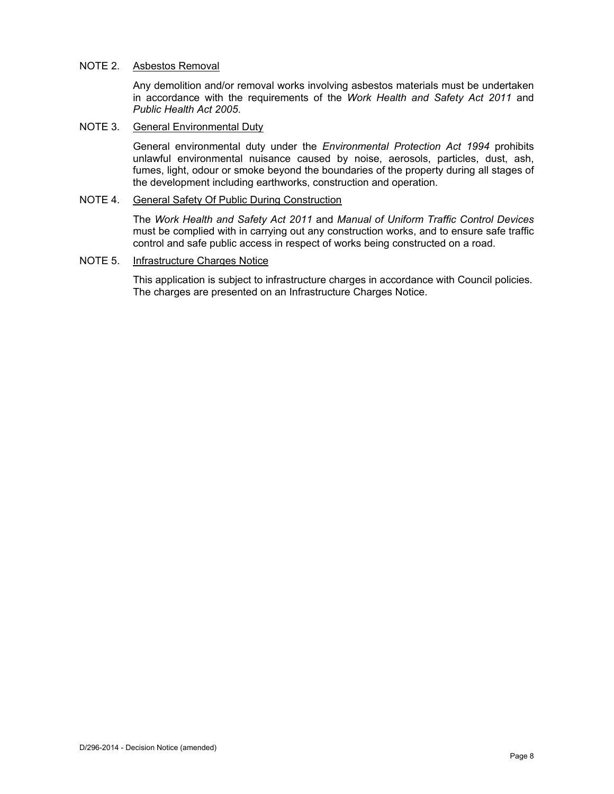### NOTE 2. Asbestos Removal

Any demolition and/or removal works involving asbestos materials must be undertaken in accordance with the requirements of the *Work Health and Safety Act 2011* and *Public Health Act 2005*.

### NOTE 3. General Environmental Duty

General environmental duty under the *Environmental Protection Act 1994* prohibits unlawful environmental nuisance caused by noise, aerosols, particles, dust, ash, fumes, light, odour or smoke beyond the boundaries of the property during all stages of the development including earthworks, construction and operation.

## NOTE 4. General Safety Of Public During Construction

The *Work Health and Safety Act 2011* and *Manual of Uniform Traffic Control Devices* must be complied with in carrying out any construction works, and to ensure safe traffic control and safe public access in respect of works being constructed on a road.

## NOTE 5. Infrastructure Charges Notice

This application is subject to infrastructure charges in accordance with Council policies. The charges are presented on an Infrastructure Charges Notice.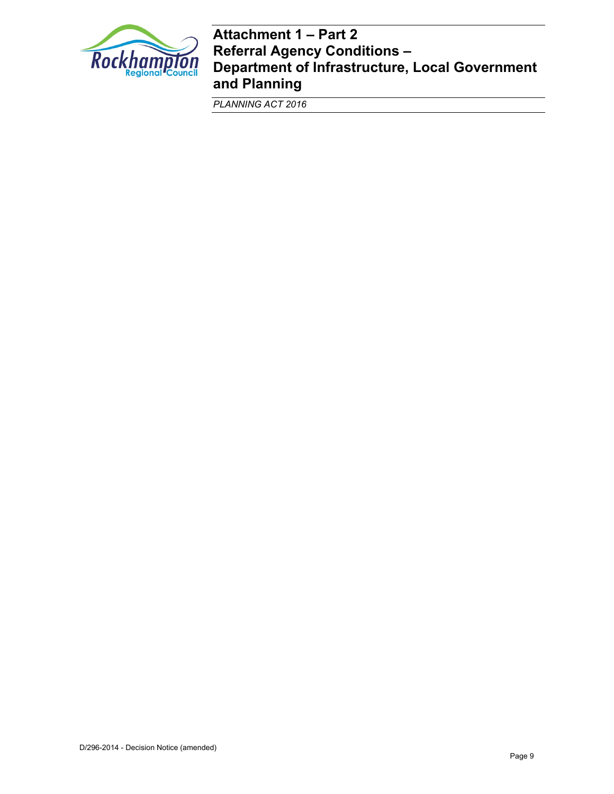

## **Attachment 1 – Part 2 Referral Agency Conditions – Department of Infrastructure, Local Government and Planning**

*PLANNING ACT 2016*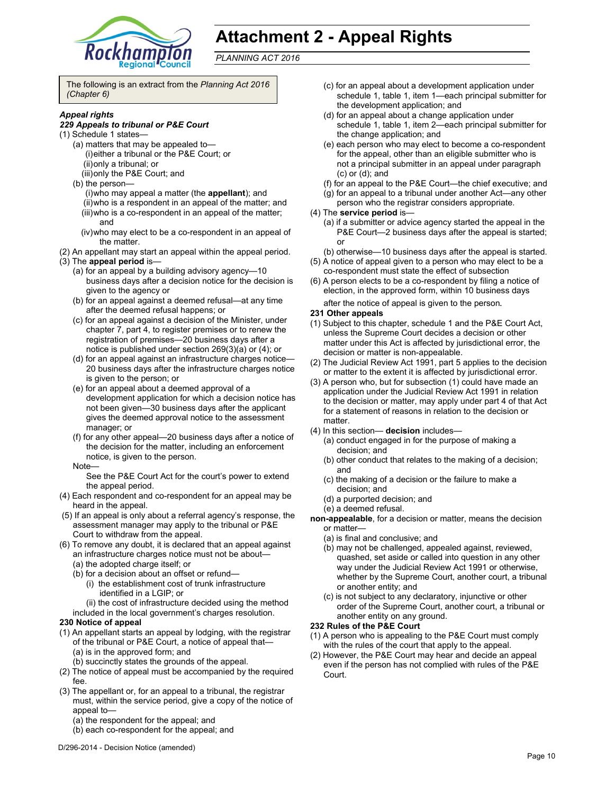

## **Attachment 2 - Appeal Rights**

*PLANNING ACT 2016*

The following is an extract from the *Planning Act 2016 (Chapter 6)* 

#### *Appeal rights*

#### *229 Appeals to tribunal or P&E Court*

- (1) Schedule 1 states—
	- (a) matters that may be appealed to— (i) either a tribunal or the P&E Court; or (ii) only a tribunal; or
		- (iii) only the P&E Court; and
	- (b) the person—
		- (i) who may appeal a matter (the **appellant**); and (ii) who is a respondent in an appeal of the matter; and (iii) who is a co-respondent in an appeal of the matter; and
		- (iv) who may elect to be a co-respondent in an appeal of the matter.
- (2) An appellant may start an appeal within the appeal period.
- (3) The **appeal period** is—
	- (a) for an appeal by a building advisory agency—10 business days after a decision notice for the decision is given to the agency or
	- (b) for an appeal against a deemed refusal—at any time after the deemed refusal happens; or
	- (c) for an appeal against a decision of the Minister, under chapter 7, part 4, to register premises or to renew the registration of premises—20 business days after a notice is published under section 269(3)(a) or (4); or
	- (d) for an appeal against an infrastructure charges notice— 20 business days after the infrastructure charges notice is given to the person; or
	- (e) for an appeal about a deemed approval of a development application for which a decision notice has not been given—30 business days after the applicant gives the deemed approval notice to the assessment manager; or
	- (f) for any other appeal—20 business days after a notice of the decision for the matter, including an enforcement notice, is given to the person.
	- Note—
		- See the P&E Court Act for the court's power to extend the appeal period.
- (4) Each respondent and co-respondent for an appeal may be heard in the appeal.
- (5) If an appeal is only about a referral agency's response, the assessment manager may apply to the tribunal or P&E Court to withdraw from the appeal.
- (6) To remove any doubt, it is declared that an appeal against an infrastructure charges notice must not be about—
	- (a) the adopted charge itself; or
	- (b) for a decision about an offset or refund—
		- (i) the establishment cost of trunk infrastructure identified in a LGIP; or
	- (ii) the cost of infrastructure decided using the method included in the local government's charges resolution.

#### **230 Notice of appeal**

- (1) An appellant starts an appeal by lodging, with the registrar of the tribunal or P&E Court, a notice of appeal that— (a) is in the approved form; and
	- (b) succinctly states the grounds of the appeal.
- (2) The notice of appeal must be accompanied by the required fee.
- (3) The appellant or, for an appeal to a tribunal, the registrar must, within the service period, give a copy of the notice of appeal to—
	- (a) the respondent for the appeal; and
	- (b) each co-respondent for the appeal; and
- (c) for an appeal about a development application under schedule 1, table 1, item 1—each principal submitter for the development application; and
- (d) for an appeal about a change application under schedule 1, table 1, item 2—each principal submitter for the change application; and
- (e) each person who may elect to become a co-respondent for the appeal, other than an eligible submitter who is not a principal submitter in an appeal under paragraph (c) or (d); and
- (f) for an appeal to the P&E Court—the chief executive; and
- (g) for an appeal to a tribunal under another Act—any other
- person who the registrar considers appropriate.
- (4) The **service period** is—
	- (a) if a submitter or advice agency started the appeal in the P&E Court—2 business days after the appeal is started; or
	- (b) otherwise—10 business days after the appeal is started.
- (5) A notice of appeal given to a person who may elect to be a co-respondent must state the effect of subsection
- (6) A person elects to be a co-respondent by filing a notice of election, in the approved form, within 10 business days after the notice of appeal is given to the person*.*
- **231 Other appeals**
- (1) Subject to this chapter, schedule 1 and the P&E Court Act, unless the Supreme Court decides a decision or other matter under this Act is affected by jurisdictional error, the decision or matter is non-appealable.
- (2) The Judicial Review Act 1991, part 5 applies to the decision or matter to the extent it is affected by jurisdictional error.
- (3) A person who, but for subsection (1) could have made an application under the Judicial Review Act 1991 in relation to the decision or matter, may apply under part 4 of that Act for a statement of reasons in relation to the decision or matter.
- (4) In this section— **decision** includes—
	- (a) conduct engaged in for the purpose of making a decision; and
	- (b) other conduct that relates to the making of a decision; and
	- (c) the making of a decision or the failure to make a decision; and
	- (d) a purported decision; and
	- (e) a deemed refusal.
- **non-appealable**, for a decision or matter, means the decision or matter—
	- (a) is final and conclusive; and
	- (b) may not be challenged, appealed against, reviewed, quashed, set aside or called into question in any other way under the Judicial Review Act 1991 or otherwise, whether by the Supreme Court, another court, a tribunal or another entity; and
	- (c) is not subject to any declaratory, injunctive or other order of the Supreme Court, another court, a tribunal or another entity on any ground.

#### **232 Rules of the P&E Court**

- (1) A person who is appealing to the P&E Court must comply with the rules of the court that apply to the appeal.
- (2) However, the P&E Court may hear and decide an appeal even if the person has not complied with rules of the P&E Court.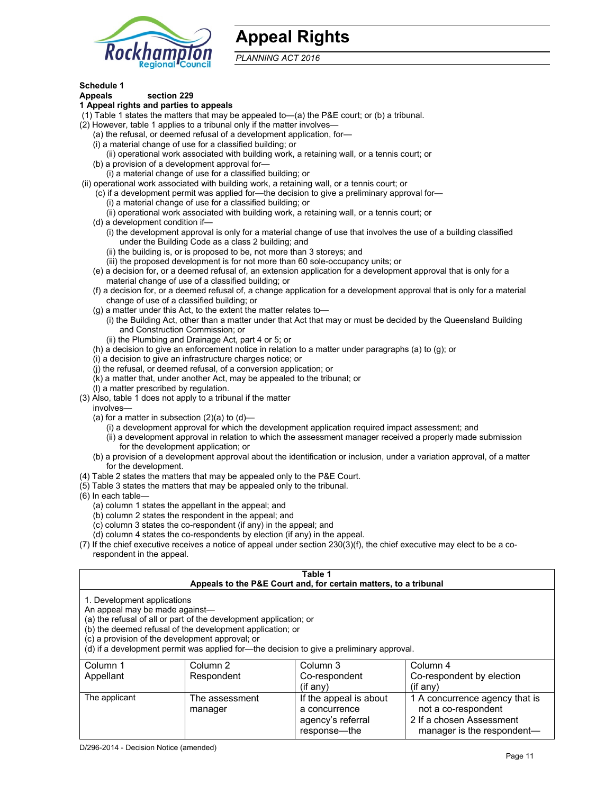

## **Appeal Rights**

*PLANNING ACT 2016*

## **Schedule 1**

#### **Appeals section 229 1 Appeal rights and parties to appeals**

- (1) Table 1 states the matters that may be appealed to—(a) the P&E court; or (b) a tribunal.
- (2) However, table 1 applies to a tribunal only if the matter involves—
	- (a) the refusal, or deemed refusal of a development application, for—
	- (i) a material change of use for a classified building; or
	- (ii) operational work associated with building work, a retaining wall, or a tennis court; or
	- (b) a provision of a development approval for—
	- (i) a material change of use for a classified building; or
- (ii) operational work associated with building work, a retaining wall, or a tennis court; or
	- (c) if a development permit was applied for—the decision to give a preliminary approval for—
		- (i) a material change of use for a classified building; or
		- (ii) operational work associated with building work, a retaining wall, or a tennis court; or
	- (d) a development condition if—
		- (i) the development approval is only for a material change of use that involves the use of a building classified under the Building Code as a class 2 building; and
		- (ii) the building is, or is proposed to be, not more than 3 storeys; and
		- (iii) the proposed development is for not more than 60 sole-occupancy units; or
	- (e) a decision for, or a deemed refusal of, an extension application for a development approval that is only for a material change of use of a classified building; or
	- (f) a decision for, or a deemed refusal of, a change application for a development approval that is only for a material change of use of a classified building; or
	- (g) a matter under this Act, to the extent the matter relates to—
		- (i) the Building Act, other than a matter under that Act that may or must be decided by the Queensland Building and Construction Commission; or
		- (ii) the Plumbing and Drainage Act, part 4 or 5; or
	- (h) a decision to give an enforcement notice in relation to a matter under paragraphs (a) to (g); or
	- (i) a decision to give an infrastructure charges notice; or
	- (j) the refusal, or deemed refusal, of a conversion application; or
	- (k) a matter that, under another Act, may be appealed to the tribunal; or
	- (l) a matter prescribed by regulation.
- (3) Also, table 1 does not apply to a tribunal if the matter
- involves—
	- (a) for a matter in subsection  $(2)(a)$  to  $(d)$ 
		- (i) a development approval for which the development application required impact assessment; and
		- (ii) a development approval in relation to which the assessment manager received a properly made submission for the development application; or
	- (b) a provision of a development approval about the identification or inclusion, under a variation approval, of a matter for the development.
- (4) Table 2 states the matters that may be appealed only to the P&E Court.
- (5) Table 3 states the matters that may be appealed only to the tribunal.
- (6) In each table—
	- (a) column 1 states the appellant in the appeal; and
	- (b) column 2 states the respondent in the appeal; and
	- (c) column 3 states the co-respondent (if any) in the appeal; and
	- (d) column 4 states the co-respondents by election (if any) in the appeal.
- (7) If the chief executive receives a notice of appeal under section 230(3)(f), the chief executive may elect to be a corespondent in the appeal.

| Table 1<br>Appeals to the P&E Court and, for certain matters, to a tribunal                                                                                                                                                                                                                                                                    |                           |                                         |                                                       |
|------------------------------------------------------------------------------------------------------------------------------------------------------------------------------------------------------------------------------------------------------------------------------------------------------------------------------------------------|---------------------------|-----------------------------------------|-------------------------------------------------------|
| 1. Development applications<br>An appeal may be made against-<br>(a) the refusal of all or part of the development application; or<br>(b) the deemed refusal of the development application; or<br>(c) a provision of the development approval; or<br>(d) if a development permit was applied for-the decision to give a preliminary approval. |                           |                                         |                                                       |
| Column 1                                                                                                                                                                                                                                                                                                                                       | Column 2                  | Column 3                                | Column 4                                              |
| Appellant                                                                                                                                                                                                                                                                                                                                      | Respondent                | Co-respondent<br>$(i$ f any $)$         | Co-respondent by election<br>(if anv)                 |
| The applicant                                                                                                                                                                                                                                                                                                                                  | The assessment<br>manager | If the appeal is about<br>a concurrence | 1 A concurrence agency that is<br>not a co-respondent |

agency's referral response—the

2 If a chosen Assessment manager is the respondent-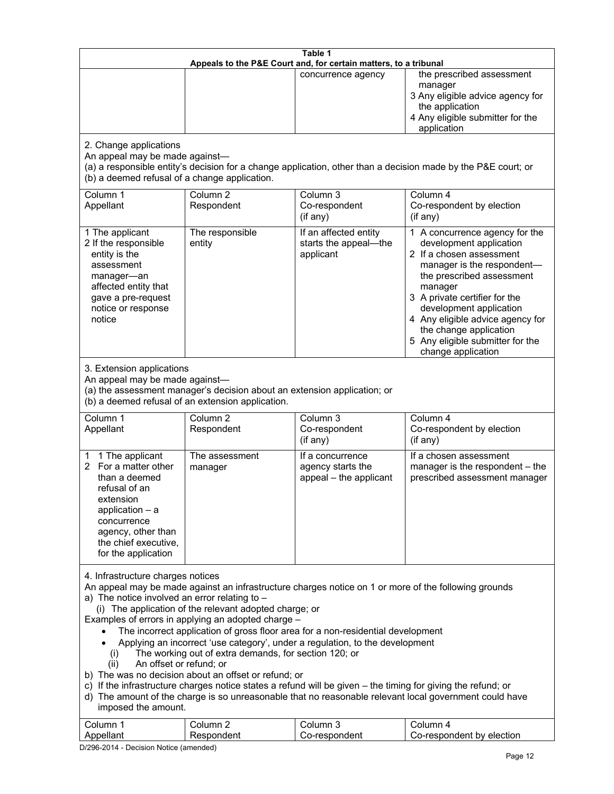| Table 1<br>Appeals to the P&E Court and, for certain matters, to a tribunal                                                                                                                                                                                                                                                                                                                                                                                                                                                                                                                                                                                                                                                                                                                                                                                                                                                                            |                                   |                                                                 |                                                                                                                                                                                                                                                                                                                                                 |
|--------------------------------------------------------------------------------------------------------------------------------------------------------------------------------------------------------------------------------------------------------------------------------------------------------------------------------------------------------------------------------------------------------------------------------------------------------------------------------------------------------------------------------------------------------------------------------------------------------------------------------------------------------------------------------------------------------------------------------------------------------------------------------------------------------------------------------------------------------------------------------------------------------------------------------------------------------|-----------------------------------|-----------------------------------------------------------------|-------------------------------------------------------------------------------------------------------------------------------------------------------------------------------------------------------------------------------------------------------------------------------------------------------------------------------------------------|
|                                                                                                                                                                                                                                                                                                                                                                                                                                                                                                                                                                                                                                                                                                                                                                                                                                                                                                                                                        |                                   | concurrence agency                                              | the prescribed assessment<br>manager<br>3 Any eligible advice agency for<br>the application<br>4 Any eligible submitter for the<br>application                                                                                                                                                                                                  |
| 2. Change applications<br>An appeal may be made against-<br>(b) a deemed refusal of a change application.                                                                                                                                                                                                                                                                                                                                                                                                                                                                                                                                                                                                                                                                                                                                                                                                                                              |                                   |                                                                 | (a) a responsible entity's decision for a change application, other than a decision made by the P&E court; or                                                                                                                                                                                                                                   |
| Column 1<br>Appellant                                                                                                                                                                                                                                                                                                                                                                                                                                                                                                                                                                                                                                                                                                                                                                                                                                                                                                                                  | Column <sub>2</sub><br>Respondent | Column 3<br>Co-respondent<br>(if any)                           | Column 4<br>Co-respondent by election<br>(if any)                                                                                                                                                                                                                                                                                               |
| 1 The applicant<br>2 If the responsible<br>entity is the<br>assessment<br>manager-an<br>affected entity that<br>gave a pre-request<br>notice or response<br>notice                                                                                                                                                                                                                                                                                                                                                                                                                                                                                                                                                                                                                                                                                                                                                                                     | The responsible<br>entity         | If an affected entity<br>starts the appeal-the<br>applicant     | 1 A concurrence agency for the<br>development application<br>2 If a chosen assessment<br>manager is the respondent-<br>the prescribed assessment<br>manager<br>3 A private certifier for the<br>development application<br>4 Any eligible advice agency for<br>the change application<br>5 Any eligible submitter for the<br>change application |
| 3. Extension applications<br>An appeal may be made against-<br>(a) the assessment manager's decision about an extension application; or<br>(b) a deemed refusal of an extension application.                                                                                                                                                                                                                                                                                                                                                                                                                                                                                                                                                                                                                                                                                                                                                           |                                   |                                                                 |                                                                                                                                                                                                                                                                                                                                                 |
| Column 1<br>Appellant                                                                                                                                                                                                                                                                                                                                                                                                                                                                                                                                                                                                                                                                                                                                                                                                                                                                                                                                  | Column <sub>2</sub><br>Respondent | Column 3<br>Co-respondent<br>(if any)                           | Column 4<br>Co-respondent by election<br>$($ if any $)$                                                                                                                                                                                                                                                                                         |
| 1 The applicant<br>1<br>For a matter other<br>2<br>than a deemed<br>refusal of an<br>extension<br>application $-$ a<br>concurrence<br>agency, other than<br>the chief executive,<br>for the application                                                                                                                                                                                                                                                                                                                                                                                                                                                                                                                                                                                                                                                                                                                                                | The assessment<br>manager         | If a concurrence<br>agency starts the<br>appeal - the applicant | If a chosen assessment<br>manager is the respondent - the<br>prescribed assessment manager                                                                                                                                                                                                                                                      |
| 4. Infrastructure charges notices<br>An appeal may be made against an infrastructure charges notice on 1 or more of the following grounds<br>a) The notice involved an error relating to $-$<br>(i) The application of the relevant adopted charge; or<br>Examples of errors in applying an adopted charge -<br>The incorrect application of gross floor area for a non-residential development<br>Applying an incorrect 'use category', under a regulation, to the development<br>The working out of extra demands, for section 120; or<br>(i)<br>An offset or refund; or<br>(ii)<br>b) The was no decision about an offset or refund; or<br>c) If the infrastructure charges notice states a refund will be given - the timing for giving the refund; or<br>d) The amount of the charge is so unreasonable that no reasonable relevant local government could have<br>imposed the amount.<br>Column 3<br>Column 1<br>Column <sub>2</sub><br>Column 4 |                                   |                                                                 |                                                                                                                                                                                                                                                                                                                                                 |
| Appellant                                                                                                                                                                                                                                                                                                                                                                                                                                                                                                                                                                                                                                                                                                                                                                                                                                                                                                                                              | Respondent                        | Co-respondent                                                   | Co-respondent by election                                                                                                                                                                                                                                                                                                                       |

D/296-2014 - Decision Notice (amended)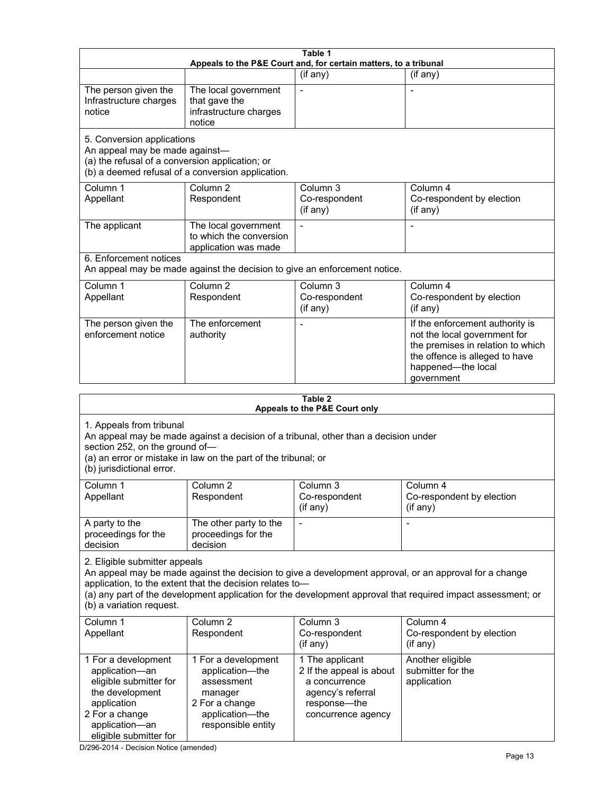|                                                                                                                                                                                                                                                  |                                                                                                                            | Table 1                                                                                                                 |                                                                                                                                                                                                                        |  |
|--------------------------------------------------------------------------------------------------------------------------------------------------------------------------------------------------------------------------------------------------|----------------------------------------------------------------------------------------------------------------------------|-------------------------------------------------------------------------------------------------------------------------|------------------------------------------------------------------------------------------------------------------------------------------------------------------------------------------------------------------------|--|
| Appeals to the P&E Court and, for certain matters, to a tribunal                                                                                                                                                                                 |                                                                                                                            |                                                                                                                         |                                                                                                                                                                                                                        |  |
|                                                                                                                                                                                                                                                  |                                                                                                                            | (if any)                                                                                                                | (if any)                                                                                                                                                                                                               |  |
| The person given the<br>Infrastructure charges<br>notice                                                                                                                                                                                         | The local government<br>that gave the<br>infrastructure charges<br>notice                                                  | $\blacksquare$                                                                                                          |                                                                                                                                                                                                                        |  |
| 5. Conversion applications<br>An appeal may be made against-<br>(a) the refusal of a conversion application; or                                                                                                                                  | (b) a deemed refusal of a conversion application.                                                                          |                                                                                                                         |                                                                                                                                                                                                                        |  |
| Column 1<br>Appellant                                                                                                                                                                                                                            | Column <sub>2</sub><br>Respondent                                                                                          | Column <sub>3</sub><br>Co-respondent<br>(if any)                                                                        | Column 4<br>Co-respondent by election<br>(if any)                                                                                                                                                                      |  |
| The applicant                                                                                                                                                                                                                                    | The local government<br>to which the conversion<br>application was made                                                    |                                                                                                                         |                                                                                                                                                                                                                        |  |
| 6. Enforcement notices                                                                                                                                                                                                                           | An appeal may be made against the decision to give an enforcement notice.                                                  |                                                                                                                         |                                                                                                                                                                                                                        |  |
| Column 1<br>Appellant                                                                                                                                                                                                                            | Column <sub>2</sub><br>Respondent                                                                                          | Column 3<br>Co-respondent<br>(if any)                                                                                   | Column 4<br>Co-respondent by election<br>(if any)                                                                                                                                                                      |  |
| The person given the<br>enforcement notice                                                                                                                                                                                                       | The enforcement<br>authority                                                                                               |                                                                                                                         | If the enforcement authority is<br>not the local government for<br>the premises in relation to which<br>the offence is alleged to have<br>happened-the local<br>government                                             |  |
|                                                                                                                                                                                                                                                  |                                                                                                                            | Table 2                                                                                                                 |                                                                                                                                                                                                                        |  |
|                                                                                                                                                                                                                                                  | Appeals to the P&E Court only                                                                                              |                                                                                                                         |                                                                                                                                                                                                                        |  |
| 1. Appeals from tribunal<br>An appeal may be made against a decision of a tribunal, other than a decision under<br>section 252, on the ground of-<br>(a) an error or mistake in law on the part of the tribunal; or<br>(b) jurisdictional error. |                                                                                                                            |                                                                                                                         |                                                                                                                                                                                                                        |  |
| Column 1<br>Appellant                                                                                                                                                                                                                            | Column <sub>2</sub><br>Respondent                                                                                          | Column 3<br>Co-respondent<br>(if any)                                                                                   | Column 4<br>Co-respondent by election<br>(if any)                                                                                                                                                                      |  |
| A party to the<br>proceedings for the<br>decision                                                                                                                                                                                                | The other party to the<br>proceedings for the<br>decision                                                                  |                                                                                                                         |                                                                                                                                                                                                                        |  |
| 2. Eligible submitter appeals<br>(b) a variation request.                                                                                                                                                                                        | application, to the extent that the decision relates to-                                                                   |                                                                                                                         | An appeal may be made against the decision to give a development approval, or an approval for a change<br>(a) any part of the development application for the development approval that required impact assessment; or |  |
| Column 1<br>Appellant                                                                                                                                                                                                                            | Column <sub>2</sub><br>Respondent                                                                                          | Column 3<br>Co-respondent<br>(if any)                                                                                   | Column 4<br>Co-respondent by election<br>(if any)                                                                                                                                                                      |  |
| 1 For a development<br>application-an<br>eligible submitter for<br>the development<br>application<br>2 For a change<br>application-an<br>eligible submitter for                                                                                  | 1 For a development<br>application-the<br>assessment<br>manager<br>2 For a change<br>application-the<br>responsible entity | 1 The applicant<br>2 If the appeal is about<br>a concurrence<br>agency's referral<br>response-the<br>concurrence agency | Another eligible<br>submitter for the<br>application                                                                                                                                                                   |  |

D/296-2014 - Decision Notice (amended)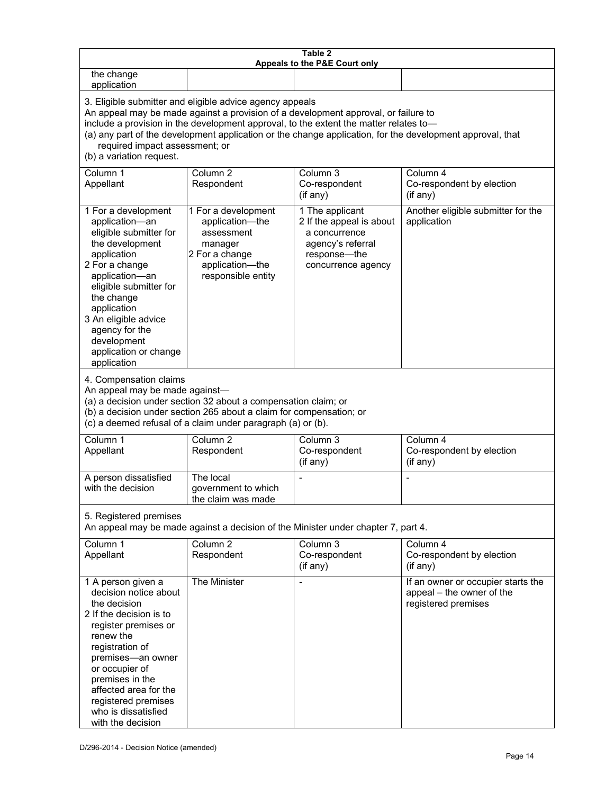| Table 2<br>Appeals to the P&E Court only                                                                                                                                                                                                                                                                                                                                                                           |                                                                                                                            |                                                                                                                         |                                                                                        |
|--------------------------------------------------------------------------------------------------------------------------------------------------------------------------------------------------------------------------------------------------------------------------------------------------------------------------------------------------------------------------------------------------------------------|----------------------------------------------------------------------------------------------------------------------------|-------------------------------------------------------------------------------------------------------------------------|----------------------------------------------------------------------------------------|
| the change<br>application                                                                                                                                                                                                                                                                                                                                                                                          |                                                                                                                            |                                                                                                                         |                                                                                        |
| 3. Eligible submitter and eligible advice agency appeals<br>An appeal may be made against a provision of a development approval, or failure to<br>include a provision in the development approval, to the extent the matter relates to-<br>(a) any part of the development application or the change application, for the development approval, that<br>required impact assessment; or<br>(b) a variation request. |                                                                                                                            |                                                                                                                         |                                                                                        |
| Column 1<br>Appellant                                                                                                                                                                                                                                                                                                                                                                                              | Column <sub>2</sub><br>Respondent                                                                                          | Column <sub>3</sub><br>Co-respondent<br>(if any)                                                                        | Column 4<br>Co-respondent by election<br>(if any)                                      |
| 1 For a development<br>application-an<br>eligible submitter for<br>the development<br>application<br>2 For a change<br>application-an<br>eligible submitter for<br>the change<br>application<br>3 An eligible advice<br>agency for the<br>development<br>application or change<br>application                                                                                                                      | 1 For a development<br>application-the<br>assessment<br>manager<br>2 For a change<br>application-the<br>responsible entity | 1 The applicant<br>2 If the appeal is about<br>a concurrence<br>agency's referral<br>response-the<br>concurrence agency | Another eligible submitter for the<br>application                                      |
| 4. Compensation claims<br>An appeal may be made against-<br>(a) a decision under section 32 about a compensation claim; or<br>(b) a decision under section 265 about a claim for compensation; or<br>(c) a deemed refusal of a claim under paragraph (a) or (b).                                                                                                                                                   |                                                                                                                            |                                                                                                                         |                                                                                        |
| Column 1<br>Appellant                                                                                                                                                                                                                                                                                                                                                                                              | Column <sub>2</sub><br>Respondent                                                                                          | Column $3$<br>Co-respondent<br>(if any)                                                                                 | Column 4<br>Co-respondent by election<br>(if any)                                      |
| A person dissatisfied<br>with the decision                                                                                                                                                                                                                                                                                                                                                                         | The local<br>government to which<br>the claim was made                                                                     |                                                                                                                         |                                                                                        |
| 5. Registered premises                                                                                                                                                                                                                                                                                                                                                                                             |                                                                                                                            | An appeal may be made against a decision of the Minister under chapter 7, part 4.                                       |                                                                                        |
| Column 1<br>Appellant                                                                                                                                                                                                                                                                                                                                                                                              | Column <sub>2</sub><br>Respondent                                                                                          | Column 3<br>Co-respondent<br>(if any)                                                                                   | Column 4<br>Co-respondent by election<br>(if any)                                      |
| 1 A person given a<br>decision notice about<br>the decision<br>2 If the decision is to<br>register premises or<br>renew the<br>registration of<br>premises-an owner<br>or occupier of<br>premises in the<br>affected area for the<br>registered premises<br>who is dissatisfied<br>with the decision                                                                                                               | The Minister                                                                                                               |                                                                                                                         | If an owner or occupier starts the<br>appeal - the owner of the<br>registered premises |